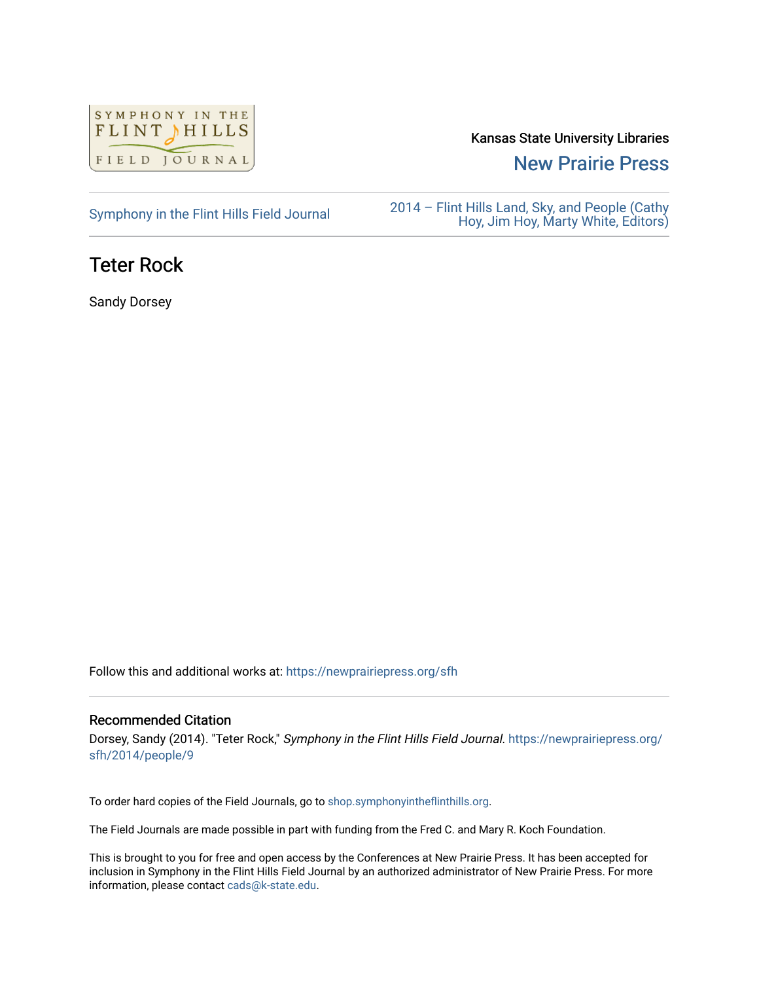

### Kansas State University Libraries

[New Prairie Press](https://newprairiepress.org/) 

### [Symphony in the Flint Hills Field Journal](https://newprairiepress.org/sfh) 2014 – Flint Hills Land, Sky, and People (Cathy [Hoy, Jim Hoy, Marty White, Editors\)](https://newprairiepress.org/sfh/2014)

## Teter Rock

Sandy Dorsey

Follow this and additional works at: [https://newprairiepress.org/sfh](https://newprairiepress.org/sfh?utm_source=newprairiepress.org%2Fsfh%2F2014%2Fpeople%2F9&utm_medium=PDF&utm_campaign=PDFCoverPages)

#### Recommended Citation

Dorsey, Sandy (2014). "Teter Rock," Symphony in the Flint Hills Field Journal. [https://newprairiepress.org/](https://newprairiepress.org/sfh/2014/people/9) [sfh/2014/people/9](https://newprairiepress.org/sfh/2014/people/9) 

To order hard copies of the Field Journals, go to [shop.symphonyintheflinthills.org.](http://shop.symphonyintheflinthills.org/)

The Field Journals are made possible in part with funding from the Fred C. and Mary R. Koch Foundation.

This is brought to you for free and open access by the Conferences at New Prairie Press. It has been accepted for inclusion in Symphony in the Flint Hills Field Journal by an authorized administrator of New Prairie Press. For more information, please contact [cads@k-state.edu](mailto:cads@k-state.edu).